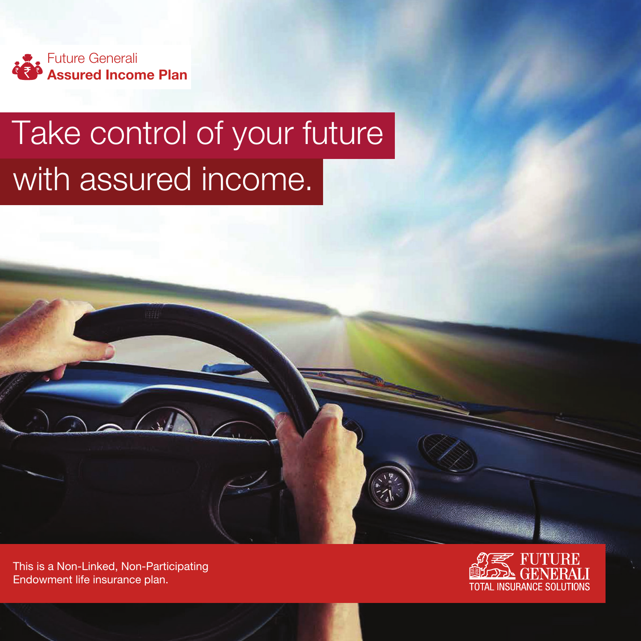

# Take control of your future with assured income.

This is a Non-Linked, Non-Participating Endowment life insurance plan.

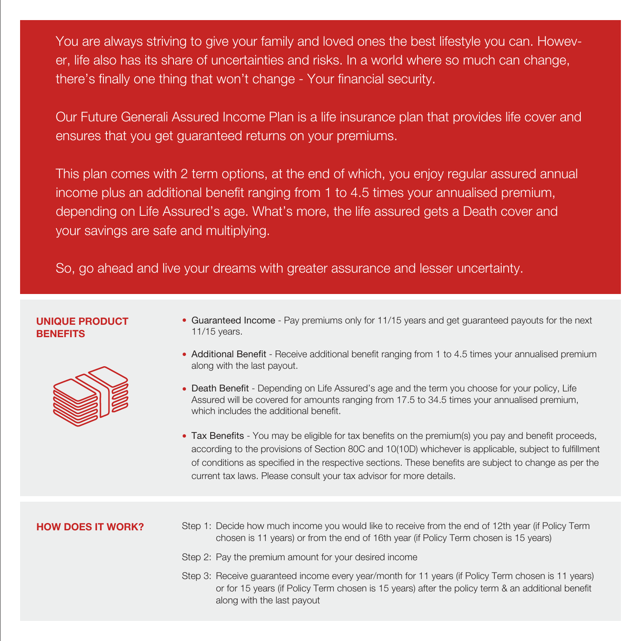You are always striving to give your family and loved ones the best lifestyle you can. However, life also has its share of uncertainties and risks. In a world where so much can change, there's finally one thing that won't change - Your financial security.

Our Future Generali Assured Income Plan is a life insurance plan that provides life cover and ensures that you get guaranteed returns on your premiums.

This plan comes with 2 term options, at the end of which, you enjoy regular assured annual income plus an additional benefit ranging from 1 to 4.5 times your annualised premium, depending on Life Assured's age. What's more, the life assured gets a Death cover and your savings are safe and multiplying.

So, go ahead and live your dreams with greater assurance and lesser uncertainty.

#### **UNIQUE PRODUCT BENEFITS**



- Guaranteed Income Pay premiums only for 11/15 years and get guaranteed payouts for the next 11/15 years.
- Additional Benefit Receive additional benefit ranging from 1 to 4.5 times your annualised premium along with the last payout.
- Death Benefit Depending on Life Assured's age and the term you choose for your policy, Life Assured will be covered for amounts ranging from 17.5 to 34.5 times your annualised premium, which includes the additional benefit.
- Tax Benefits You may be eligible for tax benefits on the premium(s) you pay and benefit proceeds, according to the provisions of Section 80C and 10(10D) whichever is applicable, subject to fulfillment of conditions as specified in the respective sections. These benefits are subject to change as per the current tax laws. Please consult your tax advisor for more details.

#### **HOW DOES IT WORK?**

- Step 1: Decide how much income you would like to receive from the end of 12th year (if Policy Term chosen is 11 years) or from the end of 16th year (if Policy Term chosen is 15 years)
- Step 2: Pay the premium amount for your desired income
- Step 3: Receive guaranteed income every year/month for 11 years (if Policy Term chosen is 11 years) or for 15 years (if Policy Term chosen is 15 years) after the policy term & an additional benefit along with the last payout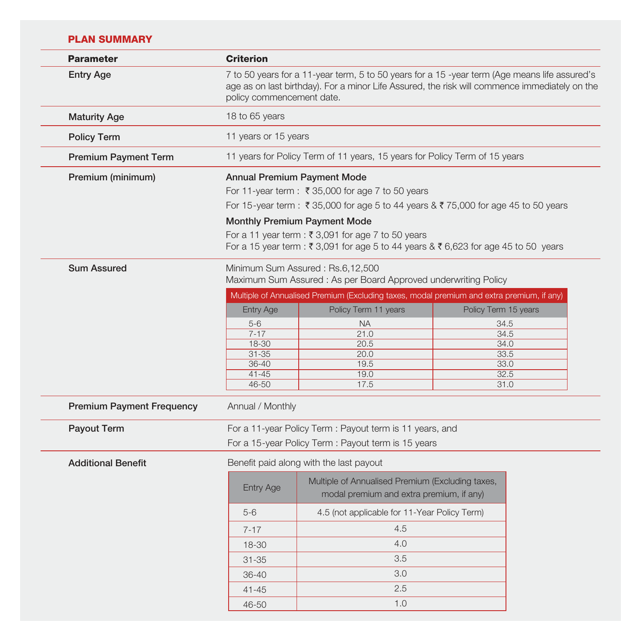# **PLAN SUMMARY**

| <b>Parameter</b>                 | <b>Criterion</b>                                                                                                                                                                                                            |                                                                                                                                                                       |                      |  |
|----------------------------------|-----------------------------------------------------------------------------------------------------------------------------------------------------------------------------------------------------------------------------|-----------------------------------------------------------------------------------------------------------------------------------------------------------------------|----------------------|--|
| <b>Entry Age</b>                 | 7 to 50 years for a 11-year term, 5 to 50 years for a 15 -year term (Age means life assured's<br>age as on last birthday). For a minor Life Assured, the risk will commence immediately on the<br>policy commencement date. |                                                                                                                                                                       |                      |  |
| <b>Maturity Age</b>              | 18 to 65 years                                                                                                                                                                                                              |                                                                                                                                                                       |                      |  |
| <b>Policy Term</b>               | 11 years or 15 years                                                                                                                                                                                                        |                                                                                                                                                                       |                      |  |
| <b>Premium Payment Term</b>      | 11 years for Policy Term of 11 years, 15 years for Policy Term of 15 years                                                                                                                                                  |                                                                                                                                                                       |                      |  |
| Premium (minimum)                |                                                                                                                                                                                                                             | Annual Premium Payment Mode<br>For 11-year term : ₹ 35,000 for age 7 to 50 years<br>For 15-year term : ₹35,000 for age 5 to 44 years & ₹75,000 for age 45 to 50 years |                      |  |
|                                  | <b>Monthly Premium Payment Mode</b><br>For a 11 year term : ₹ 3,091 for age 7 to 50 years<br>For a 15 year term : ₹ 3,091 for age 5 to 44 years & ₹ 6,623 for age 45 to 50 years                                            |                                                                                                                                                                       |                      |  |
| <b>Sum Assured</b>               | Minimum Sum Assured: Rs.6,12,500<br>Maximum Sum Assured: As per Board Approved underwriting Policy                                                                                                                          |                                                                                                                                                                       |                      |  |
|                                  | <b>Entry Age</b>                                                                                                                                                                                                            | Multiple of Annualised Premium (Excluding taxes, modal premium and extra premium, if any)<br>Policy Term 11 years                                                     | Policy Term 15 years |  |
|                                  | $5-6$                                                                                                                                                                                                                       | <b>NA</b>                                                                                                                                                             | 34.5                 |  |
|                                  | $7 - 17$                                                                                                                                                                                                                    | 21.0                                                                                                                                                                  | 34.5                 |  |
|                                  | $18 - 30$                                                                                                                                                                                                                   | 20.5                                                                                                                                                                  | 34.0                 |  |
|                                  | $31 - 35$<br>$36 - 40$                                                                                                                                                                                                      | 20.0<br>19.5                                                                                                                                                          | 33.5<br>33.0         |  |
|                                  | $41 - 45$                                                                                                                                                                                                                   | 19.0                                                                                                                                                                  | 32.5                 |  |
|                                  | 46-50<br>17.5                                                                                                                                                                                                               |                                                                                                                                                                       | 31.0                 |  |
| <b>Premium Payment Frequency</b> | Annual / Monthly                                                                                                                                                                                                            |                                                                                                                                                                       |                      |  |
| <b>Payout Term</b>               |                                                                                                                                                                                                                             | For a 11-year Policy Term: Payout term is 11 years, and<br>For a 15-year Policy Term: Payout term is 15 years                                                         |                      |  |
| <b>Additional Benefit</b>        |                                                                                                                                                                                                                             | Benefit paid along with the last payout                                                                                                                               |                      |  |
|                                  | <b>Entry Age</b>                                                                                                                                                                                                            | Multiple of Annualised Premium (Excluding taxes,<br>modal premium and extra premium, if any)                                                                          |                      |  |
|                                  | $5-6$                                                                                                                                                                                                                       | 4.5 (not applicable for 11-Year Policy Term)                                                                                                                          |                      |  |
|                                  | $7 - 17$                                                                                                                                                                                                                    | 4.5                                                                                                                                                                   |                      |  |
|                                  | 18-30                                                                                                                                                                                                                       | 4.0                                                                                                                                                                   |                      |  |
|                                  | $31 - 35$                                                                                                                                                                                                                   | 3.5                                                                                                                                                                   |                      |  |
|                                  | 36-40                                                                                                                                                                                                                       | 3.0                                                                                                                                                                   |                      |  |
|                                  | $41 - 45$                                                                                                                                                                                                                   | 2.5                                                                                                                                                                   |                      |  |
|                                  | 46-50                                                                                                                                                                                                                       | 1.0                                                                                                                                                                   |                      |  |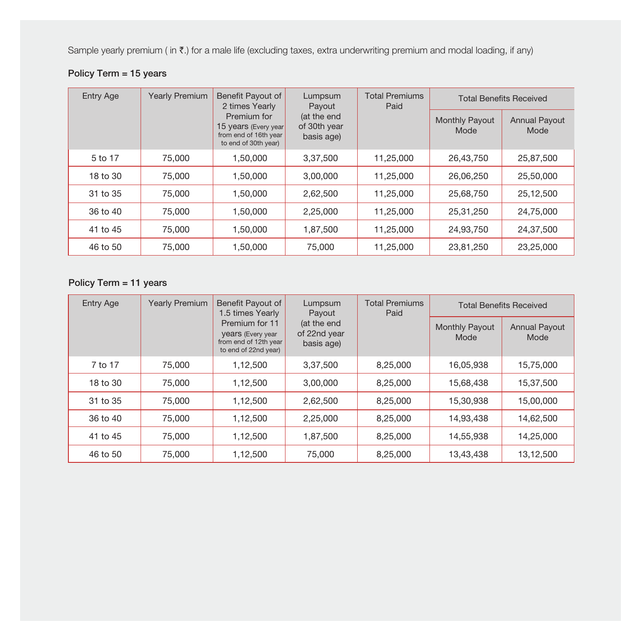Sample yearly premium ( in ₹.) for a male life (excluding taxes, extra underwriting premium and modal loading, if any)

# **Policy Term = 15 years**

| <b>Entry Age</b> | <b>Yearly Premium</b> | Benefit Payout of<br>2 times Yearly                                                  | Lumpsum<br>Payout                         | <b>Total Premiums</b><br>Paid | <b>Total Benefits Received</b> |                              |
|------------------|-----------------------|--------------------------------------------------------------------------------------|-------------------------------------------|-------------------------------|--------------------------------|------------------------------|
|                  |                       | Premium for<br>15 years (Every year<br>from end of 16th year<br>to end of 30th year) | (at the end<br>of 30th year<br>basis age) |                               | <b>Monthly Payout</b><br>Mode  | <b>Annual Payout</b><br>Mode |
| 5 to 17          | 75,000                | 1.50.000                                                                             | 3,37,500                                  | 11,25,000                     | 26,43,750                      | 25,87,500                    |
| 18 to 30         | 75,000                | 1.50.000                                                                             | 3,00,000                                  | 11,25,000                     | 26,06,250                      | 25,50,000                    |
| 31 to 35         | 75,000                | 1.50.000                                                                             | 2,62,500                                  | 11,25,000                     | 25,68,750                      | 25,12,500                    |
| 36 to 40         | 75,000                | 1,50,000                                                                             | 2,25,000                                  | 11,25,000                     | 25,31,250                      | 24,75,000                    |
| 41 to 45         | 75,000                | 1.50.000                                                                             | 1,87,500                                  | 11.25.000                     | 24.93.750                      | 24.37.500                    |
| 46 to 50         | 75,000                | 1,50,000                                                                             | 75,000                                    | 11,25,000                     | 23,81,250                      | 23,25,000                    |

# **Policy Term = 11 years**

| <b>Entry Age</b> | <b>Yearly Premium</b> | Benefit Payout of<br>1.5 times Yearly                                                       | Lumpsum<br>Payout                         | <b>Total Premiums</b><br>Paid | <b>Total Benefits Received</b> |                              |
|------------------|-----------------------|---------------------------------------------------------------------------------------------|-------------------------------------------|-------------------------------|--------------------------------|------------------------------|
|                  |                       | Premium for 11<br><b>Vears</b> (Every year<br>from end of 12th year<br>to end of 22nd year) | (at the end<br>of 22nd year<br>basis age) |                               | <b>Monthly Payout</b><br>Mode  | <b>Annual Payout</b><br>Mode |
| 7 to 17          | 75,000                | 1,12,500                                                                                    | 3,37,500                                  | 8,25,000                      | 16,05,938                      | 15,75,000                    |
| 18 to 30         | 75,000                | 1,12,500                                                                                    | 3,00,000                                  | 8,25,000                      | 15,68,438                      | 15,37,500                    |
| 31 to 35         | 75,000                | 1,12,500                                                                                    | 2,62,500                                  | 8,25,000                      | 15,30,938                      | 15,00,000                    |
| 36 to 40         | 75,000                | 1,12,500                                                                                    | 2,25,000                                  | 8,25,000                      | 14,93,438                      | 14,62,500                    |
| 41 to 45         | 75,000                | 1,12,500                                                                                    | 1,87,500                                  | 8,25,000                      | 14,55,938                      | 14,25,000                    |
| 46 to 50         | 75,000                | 1,12,500                                                                                    | 75,000                                    | 8,25,000                      | 13,43,438                      | 13,12,500                    |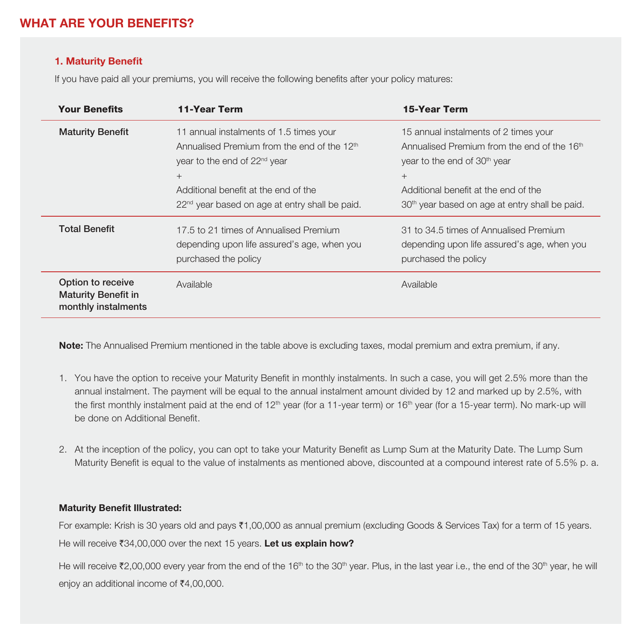# **WHAT ARE YOUR BENEFITS?**

#### **1. Maturity Benefit**

If you have paid all your premiums, you will receive the following benefits after your policy matures:

| <b>Your Benefits</b>                                                   | 11-Year Term                                                                                                                                                                                                                                                   | 15-Year Term                                                                                                                                                                                                                                                 |
|------------------------------------------------------------------------|----------------------------------------------------------------------------------------------------------------------------------------------------------------------------------------------------------------------------------------------------------------|--------------------------------------------------------------------------------------------------------------------------------------------------------------------------------------------------------------------------------------------------------------|
| <b>Maturity Benefit</b>                                                | 11 annual instalments of 1.5 times your<br>Annualised Premium from the end of the 12 <sup>th</sup><br>year to the end of 22 <sup>nd</sup> year<br>$^{+}$<br>Additional benefit at the end of the<br>22 <sup>nd</sup> year based on age at entry shall be paid. | 15 annual instalments of 2 times your<br>Annualised Premium from the end of the 16 <sup>th</sup><br>year to the end of 30 <sup>th</sup> year<br>$^{+}$<br>Additional benefit at the end of the<br>30 <sup>th</sup> year based on age at entry shall be paid. |
| <b>Total Benefit</b>                                                   | 17.5 to 21 times of Annualised Premium<br>depending upon life assured's age, when you<br>purchased the policy                                                                                                                                                  | 31 to 34.5 times of Annualised Premium<br>depending upon life assured's age, when you<br>purchased the policy                                                                                                                                                |
| Option to receive<br><b>Maturity Benefit in</b><br>monthly instalments | Available                                                                                                                                                                                                                                                      | Available                                                                                                                                                                                                                                                    |

**Note:** The Annualised Premium mentioned in the table above is excluding taxes, modal premium and extra premium, if any.

- 1. You have the option to receive your Maturity Benefit in monthly instalments. In such a case, you will get 2.5% more than the annual instalment. The payment will be equal to the annual instalment amount divided by 12 and marked up by 2.5%, with the first monthly instalment paid at the end of 12<sup>th</sup> year (for a 11-year term) or 16<sup>th</sup> year (for a 15-year term). No mark-up will be done on Additional Benefit.
- 2. At the inception of the policy, you can opt to take your Maturity Benefit as Lump Sum at the Maturity Date. The Lump Sum Maturity Benefit is equal to the value of instalments as mentioned above, discounted at a compound interest rate of 5.5% p. a.

#### **Maturity Benefit Illustrated:**

For example: Krish is 30 years old and pays ₹1,00,000 as annual premium (excluding Goods & Services Tax) for a term of 15 years. He will receive  $\overline{3}34,00,000$  over the next 15 years. Let us explain how?

He will receive  $\bar{\zeta}^2$ ,00,000 every year from the end of the 16<sup>th</sup> to the 30<sup>th</sup> year. Plus, in the last year i.e., the end of the 30<sup>th</sup> year, he will enjoy an additional income of  $\bar{\bar{\xi}}$ 4,00,000.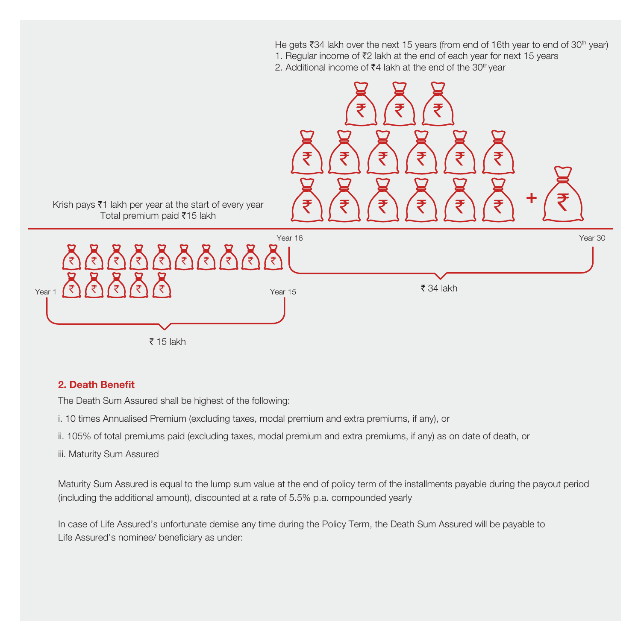He gets  $\bar{x}$ 34 lakh over the next 15 years (from end of 16th year to end of 30<sup>th</sup> year) 1. Regular income of ₹2 lakh at the end of each year for next 15 years

2. Additional income of ₹4 lakh at the end of the 30<sup>th</sup> year



#### **2. Death Benefit**

The Death Sum Assured shall be highest of the following:

i. 10 times Annualised Premium (excluding taxes, modal premium and extra premiums, if any), or

ii. 105% of total premiums paid (excluding taxes, modal premium and extra premiums, if any) as on date of death, or

iii. Maturity Sum Assured

Maturity Sum Assured is equal to the lump sum value at the end of policy term of the installments payable during the payout period (including the additional amount), discounted at a rate of 5.5% p.a. compounded yearly

In case of Life Assured's unfortunate demise any time during the Policy Term, the Death Sum Assured will be payable to Life Assured's nominee/ beneficiary as under: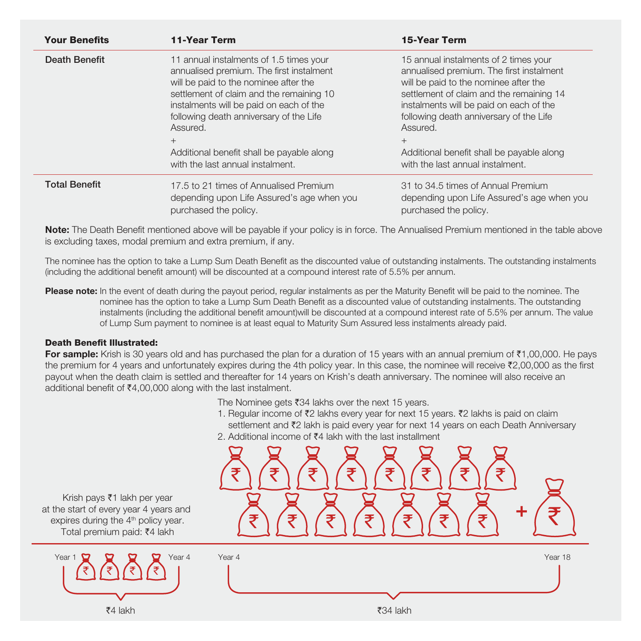| <b>Your Benefits</b> | <b>11-Year Term</b>                                                                                                                                                                                                                                                                                                                                                | <b>15-Year Term</b>                                                                                                                                                                                                                                                                                                                                                 |
|----------------------|--------------------------------------------------------------------------------------------------------------------------------------------------------------------------------------------------------------------------------------------------------------------------------------------------------------------------------------------------------------------|---------------------------------------------------------------------------------------------------------------------------------------------------------------------------------------------------------------------------------------------------------------------------------------------------------------------------------------------------------------------|
| Death Benefit        | 11 annual instalments of 1.5 times your<br>annualised premium. The first instalment<br>will be paid to the nominee after the<br>settlement of claim and the remaining 10<br>instalments will be paid on each of the<br>following death anniversary of the Life<br>Assured.<br>$+$<br>Additional benefit shall be payable along<br>with the last annual instalment. | 15 annual instalments of 2 times your<br>annualised premium. The first instalment<br>will be paid to the nominee after the<br>settlement of claim and the remaining 14<br>instalments will be paid on each of the<br>following death anniversary of the Life<br>Assured.<br>$^{+}$<br>Additional benefit shall be payable along<br>with the last annual instalment. |
| <b>Total Benefit</b> | 17.5 to 21 times of Annualised Premium<br>depending upon Life Assured's age when you<br>purchased the policy.                                                                                                                                                                                                                                                      | 31 to 34.5 times of Annual Premium<br>depending upon Life Assured's age when you<br>purchased the policy.                                                                                                                                                                                                                                                           |

**Note:** The Death Benefit mentioned above will be payable if your policy is in force. The Annualised Premium mentioned in the table above is excluding taxes, modal premium and extra premium, if any.

The nominee has the option to take a Lump Sum Death Benefit as the discounted value of outstanding instalments. The outstanding instalments (including the additional benefit amount) will be discounted at a compound interest rate of 5.5% per annum.

**Please note:** In the event of death during the payout period, regular instalments as per the Maturity Benefit will be paid to the nominee. The nominee has the option to take a Lump Sum Death Benefit as a discounted value of outstanding instalments. The outstanding instalments (including the additional benefit amount)will be discounted at a compound interest rate of 5.5% per annum. The value of Lump Sum payment to nominee is at least equal to Maturity Sum Assured less instalments already paid.

#### **Death Benefit Illustrated:**

For sample: Krish is 30 years old and has purchased the plan for a duration of 15 years with an annual premium of ₹1,00,000. He pays the premium for 4 years and unfortunately expires during the 4th policy year. In this case, the nominee will receive ₹2,00,000 as the first payout when the death claim is settled and thereafter for 14 years on Krish's death anniversary. The nominee will also receive an additional benefit of  $\bar{\mathfrak{e}}4.00,000$  along with the last instalment.

The Nominee gets  $\bar{z}34$  lakhs over the next 15 years.

1. Regular income of  $\bar{\ell}2$  lakhs every year for next 15 years.  $\bar{\ell}2$  lakhs is paid on claim settlement and  $\bar{\tau}2$  lakh is paid every year for next 14 years on each Death Anniversary

**+**

₹

2. Additional income of  $\bar{\tau}$ 4 lakh with the last installment

Krish pays  $\bar{z}$ 1 lakh per year at the start of every year 4 years and expires during the  $4<sup>th</sup>$  policy year. Total premium paid: ₹4 lakh

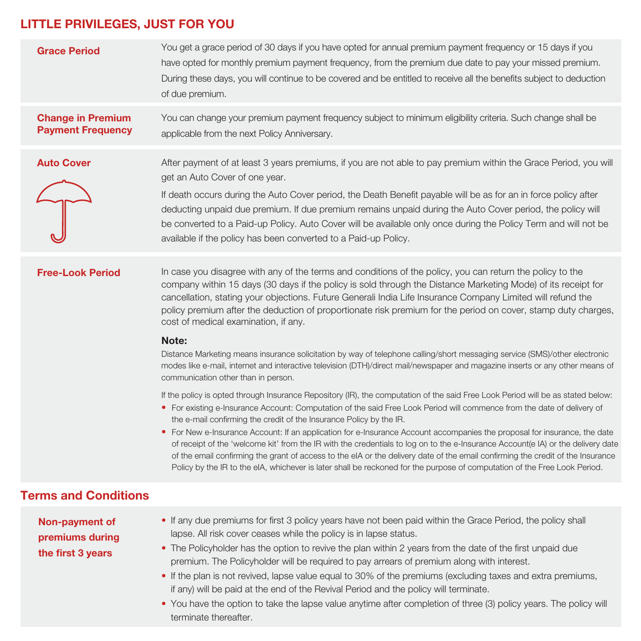# **LITTLE PRIVILEGES, JUST FOR YOU**

| <b>Grace Period</b>                                  | You get a grace period of 30 days if you have opted for annual premium payment frequency or 15 days if you<br>have opted for monthly premium payment frequency, from the premium due date to pay your missed premium.<br>During these days, you will continue to be covered and be entitled to receive all the benefits subject to deduction<br>of due premium.                                                                                                                                                                                                          |
|------------------------------------------------------|--------------------------------------------------------------------------------------------------------------------------------------------------------------------------------------------------------------------------------------------------------------------------------------------------------------------------------------------------------------------------------------------------------------------------------------------------------------------------------------------------------------------------------------------------------------------------|
| <b>Change in Premium</b><br><b>Payment Frequency</b> | You can change your premium payment frequency subject to minimum eligibility criteria. Such change shall be<br>applicable from the next Policy Anniversary.                                                                                                                                                                                                                                                                                                                                                                                                              |
| <b>Auto Cover</b>                                    | After payment of at least 3 years premiums, if you are not able to pay premium within the Grace Period, you will<br>get an Auto Cover of one year.<br>If death occurs during the Auto Cover period, the Death Benefit payable will be as for an in force policy after<br>deducting unpaid due premium. If due premium remains unpaid during the Auto Cover period, the policy will<br>be converted to a Paid-up Policy. Auto Cover will be available only once during the Policy Term and will not be<br>available if the policy has been converted to a Paid-up Policy. |
|                                                      |                                                                                                                                                                                                                                                                                                                                                                                                                                                                                                                                                                          |

#### **Free-Look Period**

In case you disagree with any of the terms and conditions of the policy, you can return the policy to the company within 15 days (30 days if the policy is sold through the Distance Marketing Mode) of its receipt for cancellation, stating your objections. Future Generali India Life Insurance Company Limited will refund the policy premium after the deduction of proportionate risk premium for the period on cover, stamp duty charges, cost of medical examination, if any.

#### **Note:**

Distance Marketing means insurance solicitation by way of telephone calling/short messaging service (SMS)/other electronic modes like e-mail, internet and interactive television (DTH)/direct mail/newspaper and magazine inserts or any other means of communication other than in person.

If the policy is opted through Insurance Repository (IR), the computation of the said Free Look Period will be as stated below:

- For existing e-Insurance Account: Computation of the said Free Look Period will commence from the date of delivery of the e-mail confirming the credit of the Insurance Policy by the IR.
- For New e-Insurance Account: If an application for e-Insurance Account accompanies the proposal for insurance, the date of receipt of the 'welcome kit' from the IR with the credentials to log on to the e-Insurance Account(e IA) or the delivery date of the email confirming the grant of access to the eIA or the delivery date of the email confirming the credit of the Insurance Policy by the IR to the eIA, whichever is later shall be reckoned for the purpose of computation of the Free Look Period.

# **Terms and Conditions**

**Non-payment of premiums during the first 3 years**

- If any due premiums for first 3 policy years have not been paid within the Grace Period, the policy shall lapse. All risk cover ceases while the policy is in lapse status.
- The Policyholder has the option to revive the plan within 2 years from the date of the first unpaid due premium. The Policyholder will be required to pay arrears of premium along with interest.
- If the plan is not revived, lapse value equal to 30% of the premiums (excluding taxes and extra premiums, if any) will be paid at the end of the Revival Period and the policy will terminate.
- You have the option to take the lapse value anytime after completion of three (3) policy years. The policy will terminate thereafter.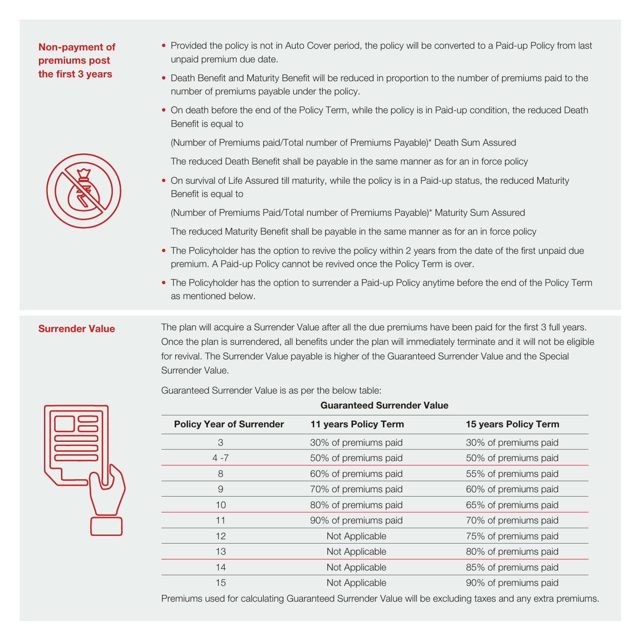## **Non-payment of premiums post the first 3 years**



- Provided the policy is not in Auto Cover period, the policy will be converted to a Paid-up Policy from last unpaid premium due date.
- Death Benefit and Maturity Benefit will be reduced in proportion to the number of premiums paid to the number of premiums payable under the policy.
- On death before the end of the Policy Term, while the policy is in Paid-up condition, the reduced Death Benefit is equal to

(Number of Premiums paid/Total number of Premiums Payable)\* Death Sum Assured

The reduced Death Benefit shall be payable in the same manner as for an in force policy

• On survival of Life Assured till maturity, while the policy is in a Paid-up status, the reduced Maturity Benefit is equal to

(Number of Premiums Paid/Total number of Premiums Payable)\* Maturity Sum Assured

The reduced Maturity Benefit shall be payable in the same manner as for an in force policy

- The Policyholder has the option to revive the policy within 2 years from the date of the first unpaid due premium. A Paid-up Policy cannot be revived once the Policy Term is over.
- The Policyholder has the option to surrender a Paid-up Policy anytime before the end of the Policy Term as mentioned below.

## **Surrender Value**

The plan will acquire a Surrender Value after all the due premiums have been paid for the first 3 full years. Once the plan is surrendered, all benefits under the plan will immediately terminate and it will not be eligible for revival. The Surrender Value payable is higher of the Guaranteed Surrender Value and the Special Surrender Value.

Guaranteed Surrender Value is as per the below table:



| <b>Guaranteed Surrender Value</b> |                      |                      |
|-----------------------------------|----------------------|----------------------|
| <b>Policy Year of Surrender</b>   | 11 years Policy Term | 15 years Policy Term |
| 3                                 | 30% of premiums paid | 30% of premiums paid |
| $4 - 7$                           | 50% of premiums paid | 50% of premiums paid |
| 8                                 | 60% of premiums paid | 55% of premiums paid |
| 9                                 | 70% of premiums paid | 60% of premiums paid |
| 10                                | 80% of premiums paid | 65% of premiums paid |
| 11                                | 90% of premiums paid | 70% of premiums paid |
| 12                                | Not Applicable       | 75% of premiums paid |
| 13                                | Not Applicable       | 80% of premiums paid |
| 14                                | Not Applicable       | 85% of premiums paid |
| 15                                | Not Applicable       | 90% of premiums paid |

Premiums used for calculating Guaranteed Surrender Value will be excluding taxes and any extra premiums.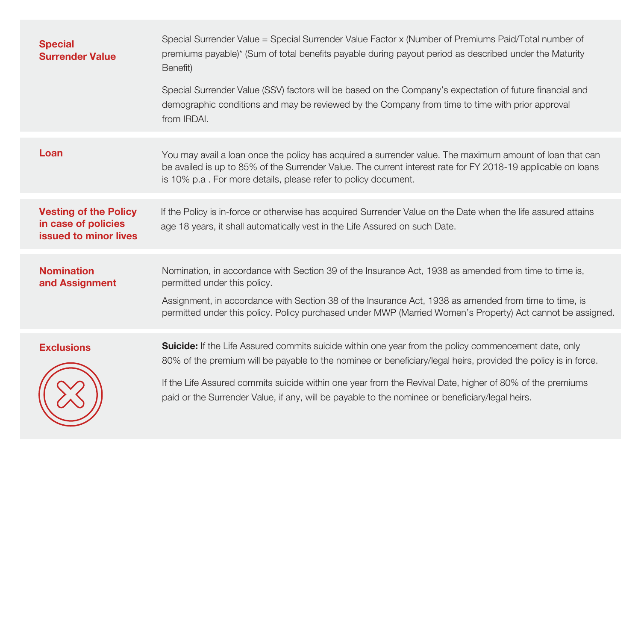| <b>Special</b><br><b>Surrender Value</b>                                     | Special Surrender Value = Special Surrender Value Factor x (Number of Premiums Paid/Total number of<br>premiums payable)* (Sum of total benefits payable during payout period as described under the Maturity<br>Benefit)                                                                                                                                                                                                                    |
|------------------------------------------------------------------------------|----------------------------------------------------------------------------------------------------------------------------------------------------------------------------------------------------------------------------------------------------------------------------------------------------------------------------------------------------------------------------------------------------------------------------------------------|
|                                                                              | Special Surrender Value (SSV) factors will be based on the Company's expectation of future financial and<br>demographic conditions and may be reviewed by the Company from time to time with prior approval<br>from IRDAI.                                                                                                                                                                                                                   |
| Loan                                                                         | You may avail a loan once the policy has acquired a surrender value. The maximum amount of loan that can<br>be availed is up to 85% of the Surrender Value. The current interest rate for FY 2018-19 applicable on loans<br>is 10% p.a. For more details, please refer to policy document.                                                                                                                                                   |
| <b>Vesting of the Policy</b><br>in case of policies<br>issued to minor lives | If the Policy is in-force or otherwise has acquired Surrender Value on the Date when the life assured attains<br>age 18 years, it shall automatically vest in the Life Assured on such Date.                                                                                                                                                                                                                                                 |
| <b>Nomination</b><br>and Assignment                                          | Nomination, in accordance with Section 39 of the Insurance Act, 1938 as amended from time to time is,<br>permitted under this policy.<br>Assignment, in accordance with Section 38 of the Insurance Act, 1938 as amended from time to time, is<br>permitted under this policy. Policy purchased under MWP (Married Women's Property) Act cannot be assigned.                                                                                 |
| <b>Exclusions</b>                                                            | <b>Suicide:</b> If the Life Assured commits suicide within one year from the policy commencement date, only<br>80% of the premium will be payable to the nominee or beneficiary/legal heirs, provided the policy is in force.<br>If the Life Assured commits suicide within one year from the Revival Date, higher of 80% of the premiums<br>paid or the Surrender Value, if any, will be payable to the nominee or beneficiary/legal heirs. |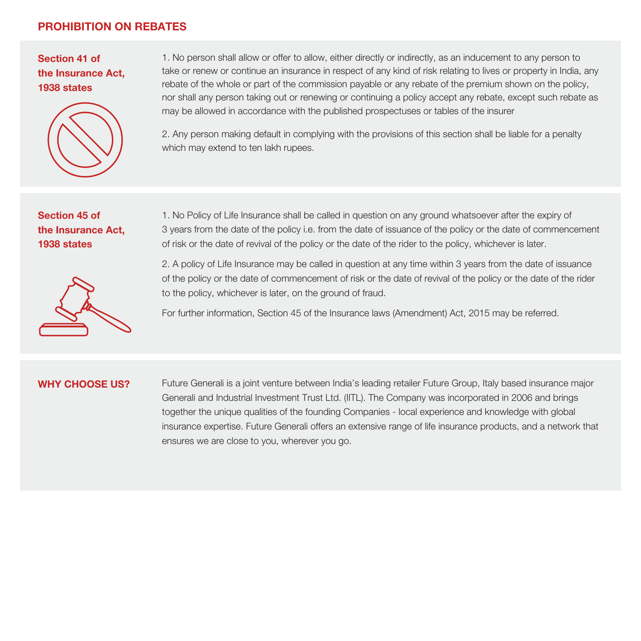## **PROHIBITION ON REBATES**

**Section 41 of the Insurance Act, 1938 states**



1. No person shall allow or offer to allow, either directly or indirectly, as an inducement to any person to take or renew or continue an insurance in respect of any kind of risk relating to lives or property in India, any rebate of the whole or part of the commission payable or any rebate of the premium shown on the policy, nor shall any person taking out or renewing or continuing a policy accept any rebate, except such rebate as may be allowed in accordance with the published prospectuses or tables of the insurer

2. Any person making default in complying with the provisions of this section shall be liable for a penalty which may extend to ten lakh rupees.

**Section 45 of the Insurance Act, 1938 states**



1. No Policy of Life Insurance shall be called in question on any ground whatsoever after the expiry of 3 years from the date of the policy i.e. from the date of issuance of the policy or the date of commencement of risk or the date of revival of the policy or the date of the rider to the policy, whichever is later.

2. A policy of Life Insurance may be called in question at any time within 3 years from the date of issuance of the policy or the date of commencement of risk or the date of revival of the policy or the date of the rider to the policy, whichever is later, on the ground of fraud.

For further information, Section 45 of the Insurance laws (Amendment) Act, 2015 may be referred.

#### **WHY CHOOSE US?**

Future Generali is a joint venture between India's leading retailer Future Group, Italy based insurance major Generali and Industrial Investment Trust Ltd. (IITL). The Company was incorporated in 2006 and brings together the unique qualities of the founding Companies - local experience and knowledge with global insurance expertise. Future Generali offers an extensive range of life insurance products, and a network that ensures we are close to you, wherever you go.